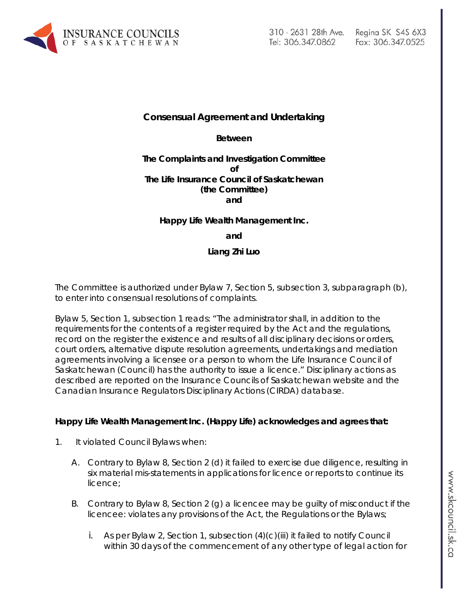

# **Consensual Agreement and Undertaking**

**Between**

#### **The Complaints and Investigation Committee of The Life Insurance Council of Saskatchewan (the Committee) and**

#### **Happy Life Wealth Management Inc.**

**and**

#### **Liang Zhi Luo**

The Committee is authorized under Bylaw 7, Section 5, subsection 3, subparagraph (b), to enter into consensual resolutions of complaints.

Bylaw 5, Section 1, subsection 1 reads: "The administrator shall, in addition to the requirements for the contents of a register required by the Act and the regulations, record on the register the existence and results of all disciplinary decisions or orders, court orders, alternative dispute resolution agreements, undertakings and mediation agreements involving a licensee or a person to whom the Life Insurance Council of Saskatchewan (Council) has the authority to issue a licence." Disciplinary actions as described are reported on the Insurance Councils of Saskatchewan website and the Canadian Insurance Regulators Disciplinary Actions (CIRDA) database.

#### **Happy Life Wealth Management Inc. (Happy Life) acknowledges and agrees that:**

- 1. It violated Council Bylaws when:
	- A. Contrary to Bylaw 8, Section 2 (d) it failed to exercise due diligence, resulting in six material mis-statements in applications for licence or reports to continue its licence;
	- B. Contrary to Bylaw 8, Section 2 (g) a licencee may be guilty of misconduct if the licencee: violates any provisions of the Act, the Regulations or the Bylaws;
		- i. As per Bylaw 2, Section 1, subsection  $(4)(c)(iii)$  it failed to notify Council within 30 days of the commencement of any other type of legal action for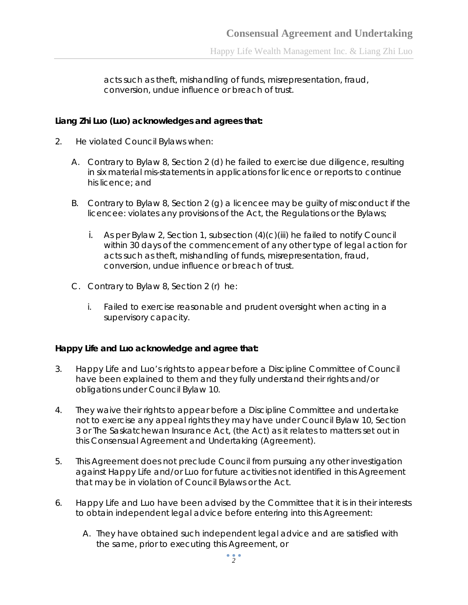acts such as theft, mishandling of funds, misrepresentation, fraud, conversion, undue influence or breach of trust.

#### **Liang Zhi Luo (Luo) acknowledges and agrees that:**

- 2. He violated Council Bylaws when:
	- A. Contrary to Bylaw 8, Section 2 (d) he failed to exercise due diligence, resulting in six material mis-statements in applications for licence or reports to continue his licence; and
	- B. Contrary to Bylaw 8, Section 2 (g) a licencee may be guilty of misconduct if the licencee: violates any provisions of the Act, the Regulations or the Bylaws;
		- i. As per Bylaw 2, Section 1, subsection  $(4)(c)(iii)$  he failed to notify Council within 30 days of the commencement of any other type of legal action for acts such as theft, mishandling of funds, misrepresentation, fraud, conversion, undue influence or breach of trust.
	- C. Contrary to Bylaw 8, Section 2 (r) he:
		- i. Failed to exercise reasonable and prudent oversight when acting in a supervisory capacity.

## **Happy Life and Luo acknowledge and agree that:**

- 3. Happy Life and Luo's rights to appear before a Discipline Committee of Council have been explained to them and they fully understand their rights and/or obligations under Council Bylaw 10.
- 4. They waive their rights to appear before a Discipline Committee and undertake not to exercise any appeal rights they may have under Council Bylaw 10, Section 3 or *The Saskatchewan Insurance Act,* (the Act) as it relates to matters set out in this Consensual Agreement and Undertaking (Agreement).
- 5. This Agreement does not preclude Council from pursuing any other investigation against Happy Life and/or Luo for future activities not identified in this Agreement that may be in violation of Council Bylaws or the Act.
- 6. Happy Life and Luo have been advised by the Committee that it is in their interests to obtain independent legal advice before entering into this Agreement:
	- A. They have obtained such independent legal advice and are satisfied with the same, prior to executing this Agreement, or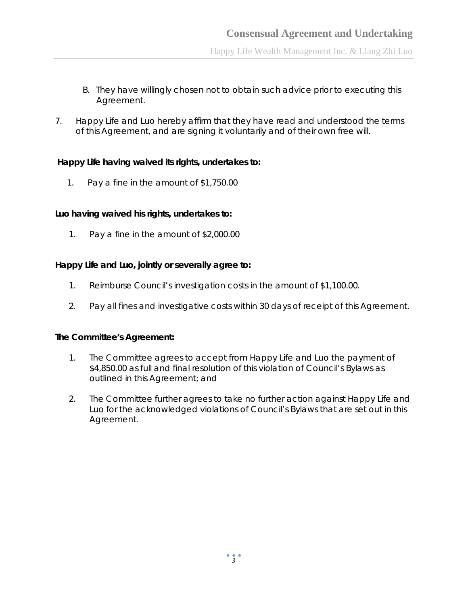Happy Life Wealth Management Inc. & Liang Zhi Luo

- B. They have willingly chosen not to obtain such advice prior to executing this Agreement.
- 7. Happy Life and Luo hereby affirm that they have read and understood the terms of this Agreement, and are signing it voluntarily and of their own free will.

## **Happy Life having waived its rights, undertakes to:**

1. Pay a fine in the amount of \$1,750.00

## **Luo having waived his rights, undertakes to:**

1. Pay a fine in the amount of \$2,000.00

## **Happy Life and Luo, jointly or severally agree to:**

- 1. Reimburse Council's investigation costs in the amount of \$1,100.00.
- 2. Pay all fines and investigative costs within 30 days of receipt of this Agreement.

## **The Committee's Agreement:**

- 1. The Committee agrees to accept from Happy Life and Luo the payment of \$4,850.00 as full and final resolution of this violation of Council's Bylaws as outlined in this Agreement; and
- 2. The Committee further agrees to take no further action against Happy Life and Luo for the acknowledged violations of Council's Bylaws that are set out in this Agreement.